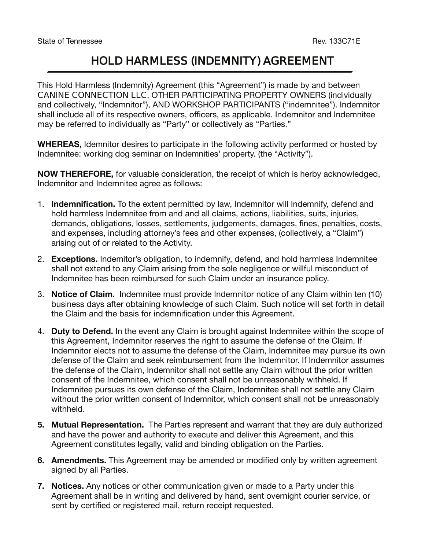## **HOLD HARMLESS (INDEMNITY) AGREEMENT**

This Hold Harmless (Indemnity) Agreement (this "Agreement") is made by and between **CANINE CONNECTION LLC**, OTHER PARTICIPATING PROPERTY OWNERS (individually and collectively, "Indemnitor"), AND WORKSHOP PARTICIPANTS ("indemnitee"). Indemnitor shall include all of its respective owners, officers, as applicable. Indemnitor and Indemnitee may be referred to individually as "Party" or collectively as "Parties."

**WHEREAS,** Idemnitor desires to participate in the following activity performed or hosted by Indemnitee: working dog seminar on Indemnities' property. (the "Activity").

**NOW THEREFORE,** for valuable consideration, the receipt of which is herby acknowledged, Indemnitor and Indemnitee agree as follows:

- 1. **Indemnification.** To the extent permitted by law, Indemnitor will Indemnify, defend and hold harmless Indemnitee from and and all claims, actions, liabilities, suits, injuries, demands, obligations, losses, settlements, judgements, damages, fines, penalties, costs, and expenses, including attorney's fees and other expenses, (collectively, a "Claim") arising out of or related to the Activity.
- 2. **Exceptions.** Indemitor's obligation, to indemnify, defend, and hold harmless Indemnitee shall not extend to any Claim arising from the sole negligence or willful misconduct of Indemnitee has been reimbursed for such Claim under an insurance policy.
- 3. **Notice of Claim.** Indemnitee must provide Indemnitor notice of any Claim within ten (10) business days after obtaining knowledge of such Claim. Such notice will set forth in detail the Claim and the basis for indemnification under this Agreement.
- 4. **Duty to Defend.** In the event any Claim is brought against Indemnitee within the scope of this Agreement, Indemnitor reserves the right to assume the defense of the Claim. If Indemnitor elects not to assume the defense of the Claim, Indemnitee may pursue its own defense of the Claim and seek reimbursement from the Indemnitor. If Indemnitor assumes the defense of the Claim, Indemnitor shall not settle any Claim without the prior written consent of the Indemnitee, which consent shall not be unreasonably withheld. If Indemnitee pursues its own defense of the Claim, Indemnitee shall not settle any Claim without the prior written consent of Indemnitor, which consent shall not be unreasonably withheld.
- **5. Mutual Representation.** The Parties represent and warrant that they are duly authorized and have the power and authority to execute and deliver this Agreement, and this Agreement constitutes legally, valid and binding obligation on the Parties.
- **6. Amendments.** This Agreement may be amended or modified only by written agreement signed by all Parties.
- **7. Notices.** Any notices or other communication given or made to a Party under this Agreement shall be in writing and delivered by hand, sent overnight courier service, or sent by certified or registered mail, return receipt requested.